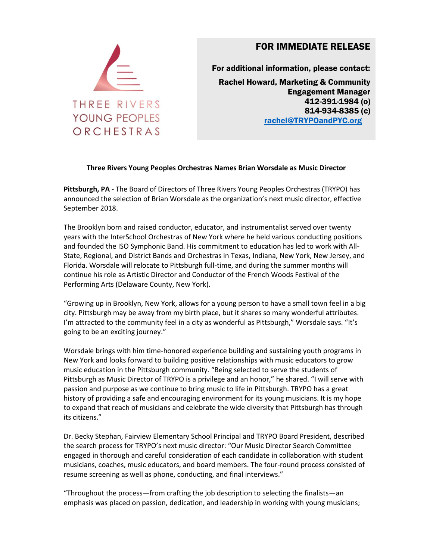

## FOR IMMEDIATE RELEASE

For additional information, please contact: Rachel Howard, Marketing & Community Engagement Manager 412-391-1984 (o) 814-934-8385 (c) [rachel@TRYPOandPYC.org](mailto:rachel@TRYPOandPYC.org)

## **Three Rivers Young Peoples Orchestras Names Brian Worsdale as Music Director**

**Pittsburgh, PA** - The Board of Directors of Three Rivers Young Peoples Orchestras (TRYPO) has announced the selection of Brian Worsdale as the organization's next music director, effective September 2018.

The Brooklyn born and raised conductor, educator, and instrumentalist served over twenty years with the InterSchool Orchestras of New York where he held various conducting positions and founded the ISO Symphonic Band. His commitment to education has led to work with All-State, Regional, and District Bands and Orchestras in Texas, Indiana, New York, New Jersey, and Florida. Worsdale will relocate to Pittsburgh full-time, and during the summer months will continue his role as Artistic Director and Conductor of the French Woods Festival of the Performing Arts (Delaware County, New York).

"Growing up in Brooklyn, New York, allows for a young person to have a small town feel in a big city. Pittsburgh may be away from my birth place, but it shares so many wonderful attributes. I'm attracted to the community feel in a city as wonderful as Pittsburgh," Worsdale says. "It's going to be an exciting journey."

Worsdale brings with him time-honored experience building and sustaining youth programs in New York and looks forward to building positive relationships with music educators to grow music education in the Pittsburgh community. "Being selected to serve the students of Pittsburgh as Music Director of TRYPO is a privilege and an honor," he shared. "I will serve with passion and purpose as we continue to bring music to life in Pittsburgh. TRYPO has a great history of providing a safe and encouraging environment for its young musicians. It is my hope to expand that reach of musicians and celebrate the wide diversity that Pittsburgh has through its citizens."

Dr. Becky Stephan, Fairview Elementary School Principal and TRYPO Board President, described the search process for TRYPO's next music director: "Our Music Director Search Committee engaged in thorough and careful consideration of each candidate in collaboration with student musicians, coaches, music educators, and board members. The four-round process consisted of resume screening as well as phone, conducting, and final interviews."

"Throughout the process—from crafting the job description to selecting the finalists—an emphasis was placed on passion, dedication, and leadership in working with young musicians;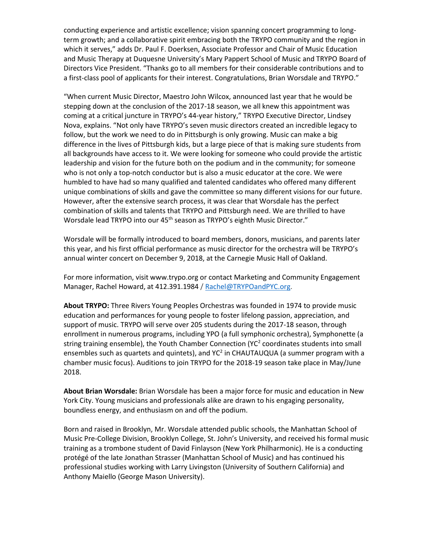conducting experience and artistic excellence; vision spanning concert programming to longterm growth; and a collaborative spirit embracing both the TRYPO community and the region in which it serves," adds Dr. Paul F. Doerksen, Associate Professor and Chair of Music Education and Music Therapy at Duquesne University's Mary Pappert School of Music and TRYPO Board of Directors Vice President. "Thanks go to all members for their considerable contributions and to a first-class pool of applicants for their interest. Congratulations, Brian Worsdale and TRYPO."

"When current Music Director, Maestro John Wilcox, announced last year that he would be stepping down at the conclusion of the 2017-18 season, we all knew this appointment was coming at a critical juncture in TRYPO's 44-year history," TRYPO Executive Director, Lindsey Nova, explains. "Not only have TRYPO's seven music directors created an incredible legacy to follow, but the work we need to do in Pittsburgh is only growing. Music can make a big difference in the lives of Pittsburgh kids, but a large piece of that is making sure students from all backgrounds have access to it. We were looking for someone who could provide the artistic leadership and vision for the future both on the podium and in the community; for someone who is not only a top-notch conductor but is also a music educator at the core. We were humbled to have had so many qualified and talented candidates who offered many different unique combinations of skills and gave the committee so many different visions for our future. However, after the extensive search process, it was clear that Worsdale has the perfect combination of skills and talents that TRYPO and Pittsburgh need. We are thrilled to have Worsdale lead TRYPO into our 45<sup>th</sup> season as TRYPO's eighth Music Director."

Worsdale will be formally introduced to board members, donors, musicians, and parents later this year, and his first official performance as music director for the orchestra will be TRYPO's annual winter concert on December 9, 2018, at the Carnegie Music Hall of Oakland.

For more information, visit www.trypo.org or contact Marketing and Community Engagement Manager, Rachel Howard, at 412.391.1984 / [Rachel@TRYPOandPYC.org.](mailto:Rachel@TRYPOandPYC.org)

**About TRYPO:** Three Rivers Young Peoples Orchestras was founded in 1974 to provide music education and performances for young people to foster lifelong passion, appreciation, and support of music. TRYPO will serve over 205 students during the 2017-18 season, through enrollment in numerous programs, including YPO (a full symphonic orchestra), Symphonette (a string training ensemble), the Youth Chamber Connection (YC<sup>2</sup> coordinates students into small ensembles such as quartets and quintets), and YC<sup>2</sup> in CHAUTAUQUA (a summer program with a chamber music focus). Auditions to join TRYPO for the 2018-19 season take place in May/June 2018.

**About Brian Worsdale:** Brian Worsdale has been a major force for music and education in New York City. Young musicians and professionals alike are drawn to his engaging personality, boundless energy, and enthusiasm on and off the podium.

Born and raised in Brooklyn, Mr. Worsdale attended public schools, the Manhattan School of Music Pre-College Division, Brooklyn College, St. John's University, and received his formal music training as a trombone student of David Finlayson (New York Philharmonic). He is a conducting protégé of the late Jonathan Strasser (Manhattan School of Music) and has continued his professional studies working with Larry Livingston (University of Southern California) and Anthony Maiello (George Mason University).